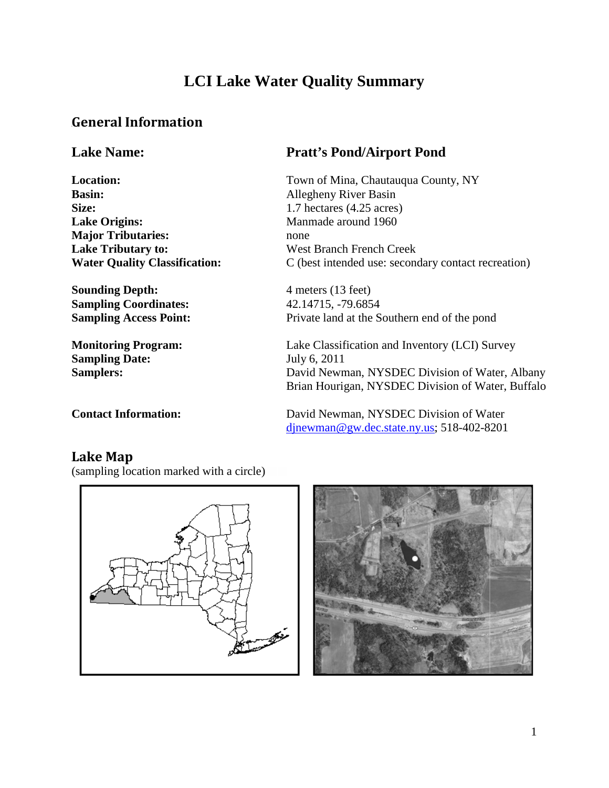# **LCI Lake Water Quality Summary**

## *0B***General Information**

**Basin:** Allegheny River Basin **Size:** 1.7 hectares (4.25 acres) **Lake Origins:** Manmade around 1960 **Major Tributaries:** none **Lake Tributary to:** West Branch French Creek

**Sounding Depth:** 4 meters (13 feet) **Sampling Coordinates:** 42.14715, -79.6854

**Sampling Date:** July 6, 2011

## **Lake Name: Pratt's Pond/Airport Pond**

Location: Town of Mina, Chautauqua County, NY **Water Quality Classification:** C (best intended use: secondary contact recreation)

**Sampling Access Point:** Private land at the Southern end of the pond

**Monitoring Program:** Lake Classification and Inventory (LCI) Survey Samplers: David Newman, NYSDEC Division of Water, Albany Brian Hourigan, NYSDEC Division of Water, Buffalo

**Contact Information:** David Newman, NYSDEC Division of Water *dinewman@gw.dec.state.ny.us*; 518-402-8201

## Lake Map

(sampling location marked with a circle)



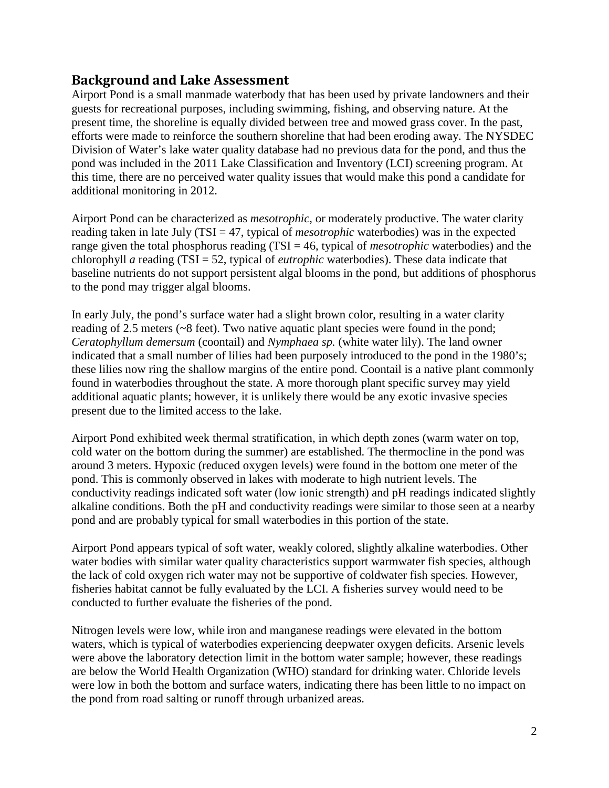#### *2B***Background and Lake Assessment**

Airport Pond is a small manmade waterbody that has been used by private landowners and their guests for recreational purposes, including swimming, fishing, and observing nature. At the present time, the shoreline is equally divided between tree and mowed grass cover. In the past, efforts were made to reinforce the southern shoreline that had been eroding away. The NYSDEC Division of Water's lake water quality database had no previous data for the pond, and thus the pond was included in the 2011 Lake Classification and Inventory (LCI) screening program. At this time, there are no perceived water quality issues that would make this pond a candidate for additional monitoring in 2012.

Airport Pond can be characterized as *mesotrophic*, or moderately productive. The water clarity reading taken in late July (TSI = 47, typical of *mesotrophic* waterbodies) was in the expected range given the total phosphorus reading (TSI = 46, typical of *mesotrophic* waterbodies) and the chlorophyll *a* reading (TSI = 52, typical of *eutrophic* waterbodies). These data indicate that baseline nutrients do not support persistent algal blooms in the pond, but additions of phosphorus to the pond may trigger algal blooms.

In early July, the pond's surface water had a slight brown color, resulting in a water clarity reading of 2.5 meters (~8 feet). Two native aquatic plant species were found in the pond; *Ceratophyllum demersum* (coontail) and *Nymphaea sp.* (white water lily). The land owner indicated that a small number of lilies had been purposely introduced to the pond in the 1980's; these lilies now ring the shallow margins of the entire pond. Coontail is a native plant commonly found in waterbodies throughout the state. A more thorough plant specific survey may yield additional aquatic plants; however, it is unlikely there would be any exotic invasive species present due to the limited access to the lake.

Airport Pond exhibited week thermal stratification, in which depth zones (warm water on top, cold water on the bottom during the summer) are established. The thermocline in the pond was around 3 meters. Hypoxic (reduced oxygen levels) were found in the bottom one meter of the pond. This is commonly observed in lakes with moderate to high nutrient levels. The conductivity readings indicated soft water (low ionic strength) and pH readings indicated slightly alkaline conditions. Both the pH and conductivity readings were similar to those seen at a nearby pond and are probably typical for small waterbodies in this portion of the state.

Airport Pond appears typical of soft water, weakly colored, slightly alkaline waterbodies. Other water bodies with similar water quality characteristics support warmwater fish species, although the lack of cold oxygen rich water may not be supportive of coldwater fish species. However, fisheries habitat cannot be fully evaluated by the LCI. A fisheries survey would need to be conducted to further evaluate the fisheries of the pond.

Nitrogen levels were low, while iron and manganese readings were elevated in the bottom waters, which is typical of waterbodies experiencing deepwater oxygen deficits. Arsenic levels were above the laboratory detection limit in the bottom water sample; however, these readings are below the World Health Organization (WHO) standard for drinking water. Chloride levels were low in both the bottom and surface waters, indicating there has been little to no impact on the pond from road salting or runoff through urbanized areas.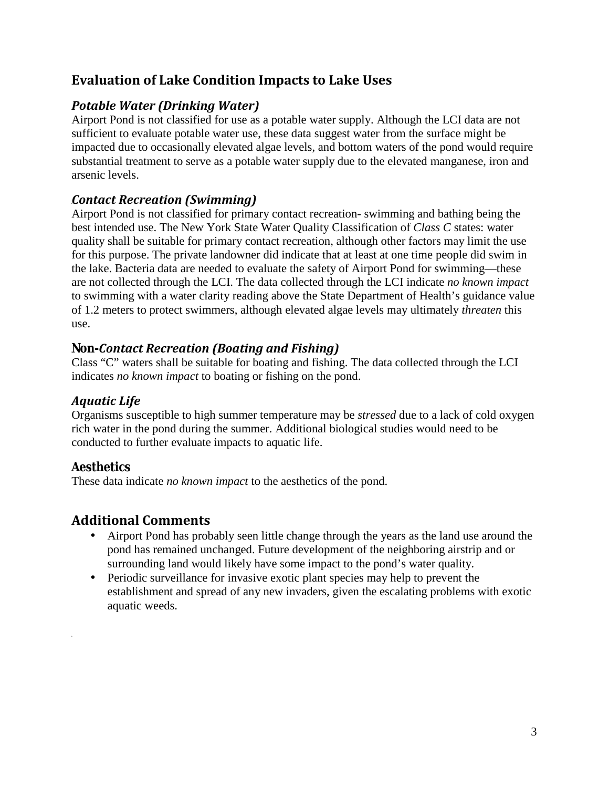## *3B***Evaluation of Lake Condition Impacts to Lake Uses**

#### *1BPotable Water (Drinking Water)*

Airport Pond is not classified for use as a potable water supply. Although the LCI data are not sufficient to evaluate potable water use, these data suggest water from the surface might be impacted due to occasionally elevated algae levels, and bottom waters of the pond would require substantial treatment to serve as a potable water supply due to the elevated manganese, iron and arsenic levels.

#### *12BContact Recreation (Swimming)*

Airport Pond is not classified for primary contact recreation- swimming and bathing being the best intended use. The New York State Water Quality Classification of *Class C* states: water quality shall be suitable for primary contact recreation, although other factors may limit the use for this purpose. The private landowner did indicate that at least at one time people did swim in the lake. Bacteria data are needed to evaluate the safety of Airport Pond for swimming—these are not collected through the LCI. The data collected through the LCI indicate *no known impact*  to swimming with a water clarity reading above the State Department of Health's guidance value of 1.2 meters to protect swimmers, although elevated algae levels may ultimately *threaten* this use.

#### *13BNon-Contact Recreation (Boating and Fishing)*

Class "C" waters shall be suitable for boating and fishing. The data collected through the LCI indicates *no known impact* to boating or fishing on the pond.

#### *14BAquatic Life*

Organisms susceptible to high summer temperature may be *stressed* due to a lack of cold oxygen rich water in the pond during the summer. Additional biological studies would need to be conducted to further evaluate impacts to aquatic life.

#### *15BAesthetics*

These data indicate *no known impact* to the aesthetics of the pond.

## *4B***Additional Comments**

- Airport Pond has probably seen little change through the years as the land use around the pond has remained unchanged. Future development of the neighboring airstrip and or surrounding land would likely have some impact to the pond's water quality.
- Periodic surveillance for invasive exotic plant species may help to prevent the establishment and spread of any new invaders, given the escalating problems with exotic aquatic weeds.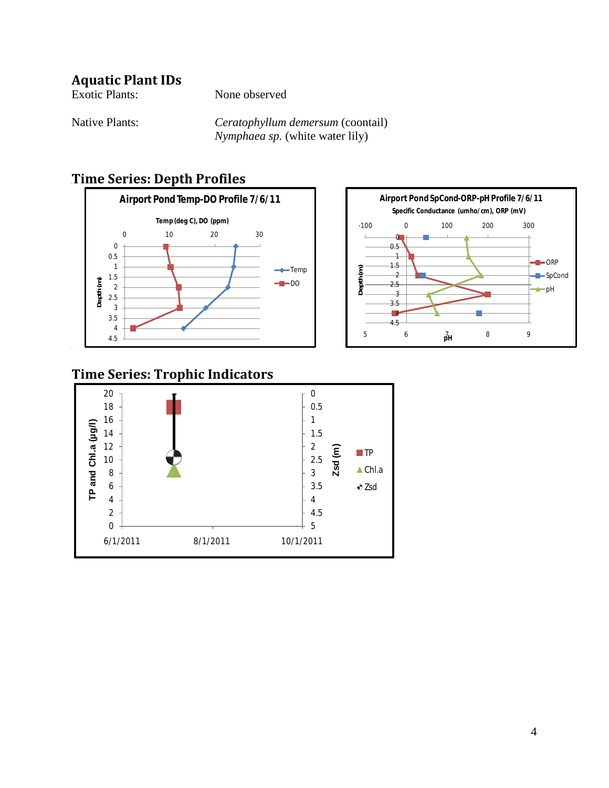## **Aquatic Plant IDs**

| Exotic Plants:        | None observed                          |
|-----------------------|----------------------------------------|
| <b>Native Plants:</b> | Ceratophyllum demersum (coontail)      |
|                       | <i>Nymphaea sp.</i> (white water lily) |

## *6B***Time Series: Depth Profiles**





## **Time Series: Trophic Indicators**

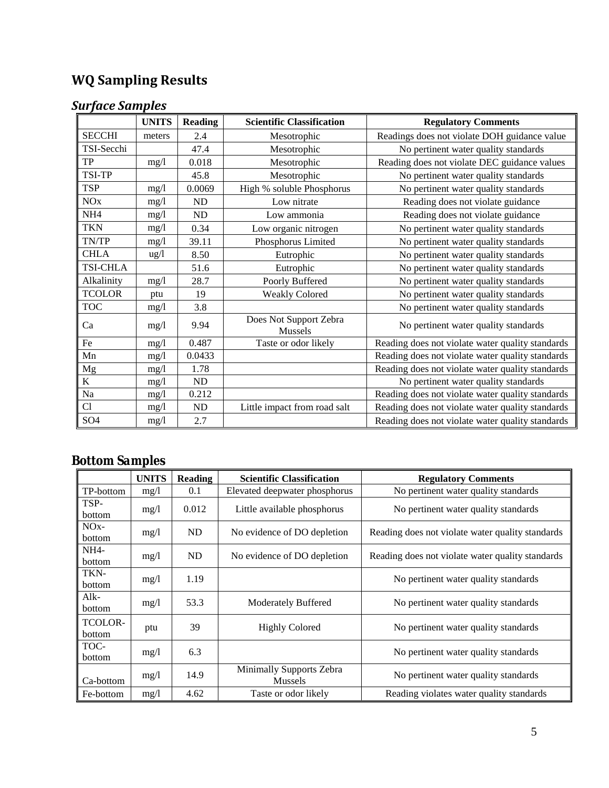# *8B***WQ Sampling Results**

# *<u>Surface Samples</u>*

|                 | <b>UNITS</b>    | <b>Reading</b> | <b>Scientific Classification</b>  | <b>Regulatory Comments</b>                       |
|-----------------|-----------------|----------------|-----------------------------------|--------------------------------------------------|
| <b>SECCHI</b>   | meters          | 2.4            | Mesotrophic                       | Readings does not violate DOH guidance value     |
| TSI-Secchi      |                 | 47.4           | Mesotrophic                       | No pertinent water quality standards             |
| TP              | mg/l            | 0.018          | Mesotrophic                       | Reading does not violate DEC guidance values     |
| <b>TSI-TP</b>   |                 | 45.8           | Mesotrophic                       | No pertinent water quality standards             |
| <b>TSP</b>      | mg/1            | 0.0069         | High % soluble Phosphorus         | No pertinent water quality standards             |
| <b>NO</b> x     | mg/1            | ND             | Low nitrate                       | Reading does not violate guidance                |
| NH <sub>4</sub> | mg/1            | ND             | Low ammonia                       | Reading does not violate guidance                |
| <b>TKN</b>      | mg/1            | 0.34           | Low organic nitrogen              | No pertinent water quality standards             |
| TN/TP           | mg/1            | 39.11          | Phosphorus Limited                | No pertinent water quality standards             |
| <b>CHLA</b>     | $\frac{u g}{l}$ | 8.50           | Eutrophic                         | No pertinent water quality standards             |
| <b>TSI-CHLA</b> |                 | 51.6           | Eutrophic                         | No pertinent water quality standards             |
| Alkalinity      | mg/l            | 28.7           | Poorly Buffered                   | No pertinent water quality standards             |
| <b>TCOLOR</b>   | ptu             | 19             | <b>Weakly Colored</b>             | No pertinent water quality standards             |
| <b>TOC</b>      | mg/l            | 3.8            |                                   | No pertinent water quality standards             |
| Ca              | mg/1            | 9.94           | Does Not Support Zebra<br>Mussels | No pertinent water quality standards             |
| Fe              | mg/1            | 0.487          | Taste or odor likely              | Reading does not violate water quality standards |
| Mn              | mg/l            | 0.0433         |                                   | Reading does not violate water quality standards |
| $_{\rm Mg}$     | mg/l            | 1.78           |                                   | Reading does not violate water quality standards |
| $\bf K$         | mg/l            | ND             |                                   | No pertinent water quality standards             |
| Na              | mg/l            | 0.212          |                                   | Reading does not violate water quality standards |
| Cl              | mg/l            | ND             | Little impact from road salt      | Reading does not violate water quality standards |
| SO <sub>4</sub> | mg/l            | 2.7            |                                   | Reading does not violate water quality standards |

# *17BBottom Samples*

|                   | <b>UNITS</b> | <b>Reading</b> | <b>Scientific Classification</b>           | <b>Regulatory Comments</b>                       |
|-------------------|--------------|----------------|--------------------------------------------|--------------------------------------------------|
| TP-bottom         | mg/1         | 0.1            | Elevated deepwater phosphorus              | No pertinent water quality standards             |
| TSP-<br>bottom    | mg/1         | 0.012          | Little available phosphorus                | No pertinent water quality standards             |
| $NOx-$<br>bottom  | mg/1         | ND             | No evidence of DO depletion                | Reading does not violate water quality standards |
| $NH4-$<br>bottom  | mg/1         | ND             | No evidence of DO depletion                | Reading does not violate water quality standards |
| TKN-<br>bottom    | mg/1         | 1.19           |                                            | No pertinent water quality standards             |
| $Alk-$<br>bottom  | mg/1         | 53.3           | <b>Moderately Buffered</b>                 | No pertinent water quality standards             |
| TCOLOR-<br>bottom | ptu          | 39             | <b>Highly Colored</b>                      | No pertinent water quality standards             |
| TOC-<br>bottom    | mg/1         | 6.3            |                                            | No pertinent water quality standards             |
| Ca-bottom         | mg/1         | 14.9           | Minimally Supports Zebra<br><b>Mussels</b> | No pertinent water quality standards             |
| Fe-bottom         | mg/1         | 4.62           | Taste or odor likely                       | Reading violates water quality standards         |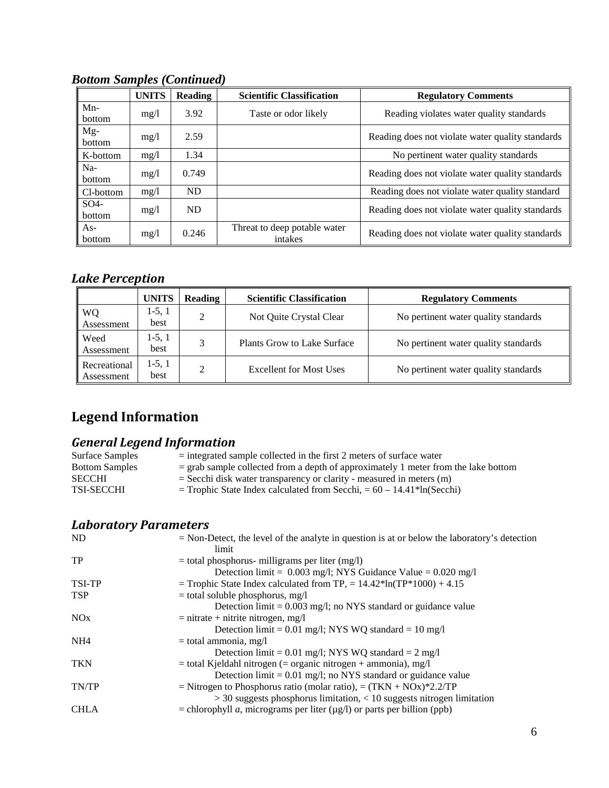|                           | <b>UNITS</b> | <b>Reading</b> | <b>Scientific Classification</b>        | <b>Regulatory Comments</b>                       |
|---------------------------|--------------|----------------|-----------------------------------------|--------------------------------------------------|
| $Mn-$<br><b>bottom</b>    | mg/l         | 3.92           | Taste or odor likely                    | Reading violates water quality standards         |
| $Mg-$<br>bottom           | mg/l         | 2.59           |                                         | Reading does not violate water quality standards |
| K-bottom                  | mg/l         | 1.34           |                                         | No pertinent water quality standards             |
| Na-<br>bottom             | mg/l         | 0.749          |                                         | Reading does not violate water quality standards |
| Cl-bottom                 | mg/l         | <b>ND</b>      |                                         | Reading does not violate water quality standard  |
| SO <sub>4</sub><br>bottom | mg/l         | ND.            |                                         | Reading does not violate water quality standards |
| $As-$<br>bottom           | mg/l         | 0.246          | Threat to deep potable water<br>intakes | Reading does not violate water quality standards |

*Bottom Samples (Continued)*

## *Lake Perception*

|                            | <b>UNITS</b>     | <b>Reading</b> | <b>Scientific Classification</b> | <b>Regulatory Comments</b>           |
|----------------------------|------------------|----------------|----------------------------------|--------------------------------------|
| WQ<br>Assessment           | $1-5, 1$<br>best | 2              | Not Quite Crystal Clear          | No pertinent water quality standards |
| Weed<br>Assessment         | $1-5, 1$<br>best | 2              | Plants Grow to Lake Surface      | No pertinent water quality standards |
| Recreational<br>Assessment | $1-5, 1$<br>best | ↑              | <b>Excellent for Most Uses</b>   | No pertinent water quality standards |

# Legend Information

#### *General Legend Information*

| Surface Samples       | $=$ integrated sample collected in the first 2 meters of surface water                 |
|-----------------------|----------------------------------------------------------------------------------------|
| <b>Bottom Samples</b> | $=$ grab sample collected from a depth of approximately 1 meter from the lake bottom   |
| <b>SECCHI</b>         | $=$ Secchi disk water transparency or clarity - measured in meters (m)                 |
| <b>TSI-SECCHI</b>     | $=$ Trophic State Index calculated from Secchi, $= 60 - 14.41$ <sup>*</sup> ln(Secchi) |
|                       |                                                                                        |

### *20BLaboratory Parameters*

| ND              | $=$ Non-Detect, the level of the analyte in question is at or below the laboratory's detection |
|-----------------|------------------------------------------------------------------------------------------------|
|                 | limit                                                                                          |
| TP              | $=$ total phosphorus- milligrams per liter (mg/l)                                              |
|                 | Detection limit = $0.003$ mg/l; NYS Guidance Value = $0.020$ mg/l                              |
| TSI-TP          | = Trophic State Index calculated from TP, = $14.42*ln(TP*1000) + 4.15$                         |
| <b>TSP</b>      | $=$ total soluble phosphorus, mg/l                                                             |
|                 | Detection $\text{limit} = 0.003 \text{ mg/l}$ ; no NYS standard or guidance value              |
| NOx             | $=$ nitrate + nitrite nitrogen, mg/l                                                           |
|                 | Detection limit = $0.01$ mg/l; NYS WQ standard = $10$ mg/l                                     |
| NH <sub>4</sub> | $=$ total ammonia, mg/l                                                                        |
|                 | Detection limit = $0.01$ mg/l; NYS WQ standard = $2$ mg/l                                      |
| <b>TKN</b>      | $=$ total Kjeldahl nitrogen ( $=$ organic nitrogen $+$ ammonia), mg/l                          |
|                 | Detection $\lim_{t=0} 0.01$ mg/l; no NYS standard or guidance value                            |
| TN/TP           | = Nitrogen to Phosphorus ratio (molar ratio), = $(TKN + NOx)*2.2/TP$                           |
|                 | $>$ 30 suggests phosphorus limitation, $<$ 10 suggests nitrogen limitation                     |
| <b>CHLA</b>     | = chlorophyll <i>a</i> , micrograms per liter $(\mu g/l)$ or parts per billion (ppb)           |
|                 |                                                                                                |